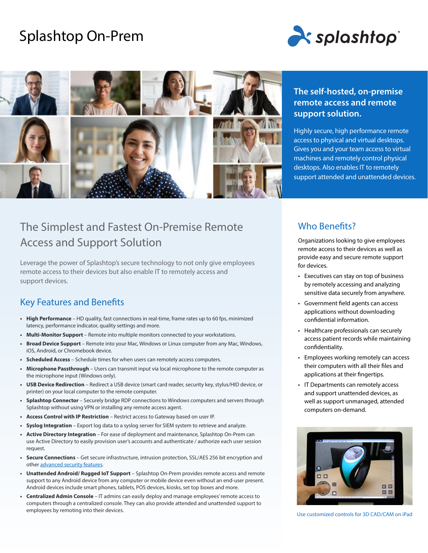# Splashtop On-Prem





## The Simplest and Fastest On-Premise Remote Access and Support Solution

Leverage the power of Splashtop's secure technology to not only give employees remote access to their devices but also enable IT to remotely access and support devices.

### Key Features and Benefits

- **• High Performance** HD quality, fast connections in real-time, frame rates up to 60 fps, minimized latency, performance indicator, quality settings and more.
- **• Multi-Monitor Support** Remote into multiple monitors connected to your workstations.
- **• Broad Device Support** Remote into your Mac, Windows or Linux computer from any Mac, Windows, iOS, Android, or Chromebook device.
- **• Scheduled Access** Schedule times for when users can remotely access computers.
- **• Microphone Passthrough** Users can transmit input via local microphone to the remote computer as the microphone input (Windows only).
- **• USB Device Redirection** Redirect a USB device (smart card reader, security key, stylus/HID device, or printer) on your local computer to the remote computer.
- **• Splashtop Connector** Securely bridge RDP connections to Windows computers and servers through Splashtop without using VPN or installing any remote access agent.
- **• Access Control with IP Restriction** Restrict access to Gateway based on user IP.
- **• Syslog Integration** Export log data to a syslog server for SIEM system to retrieve and analyze.
- **• Active Directory Integration** For ease of deployment and maintenance, Splashtop On-Prem can use Active Directory to easily provision user's accounts and authenticate / authorize each user session request.
- **• Secure Connections** Get secure infrastructure, intrusion protection, SSL/AES 256 bit encryption and other [advanced security features](https://www.splashtop.com/security-features).
- **• Unattended Android/ Rugged IoT Support** Splashtop On-Prem provides remote access and remote support to any Android device from any computer or mobile device even without an end-user present. Android devices include smart phones, tablets, POS devices, kiosks, set top boxes and more.
- **• Centralized Admin Console** IT admins can easily deploy and manage employees' remote access to computers through a centralized console. They can also provide attended and unattended support to employees by remoting into their devices.

### **The self-hosted, on-premise remote access and remote support solution.**

Highly secure, high performance remote access to physical and virtual desktops. Gives you and your team access to virtual machines and remotely control physical desktops. Also enables IT to remotely support attended and unattended devices.

### Who Benefits?

Organizations looking to give employees remote access to their devices as well as provide easy and secure remote support for devices.

- Executives can stay on top of business by remotely accessing and analyzing sensitive data securely from anywhere.
- Government field agents can access applications without downloading confidential information.
- Healthcare professionals can securely access patient records while maintaining confidentiality.
- Employees working remotely can access their computers with all their files and applications at their fingertips.
- IT Departments can remotely access and support unattended devices, as well as support unmanaged, attended computers on-demand.



Use customized controls for 3D CAD/CAM on iPad